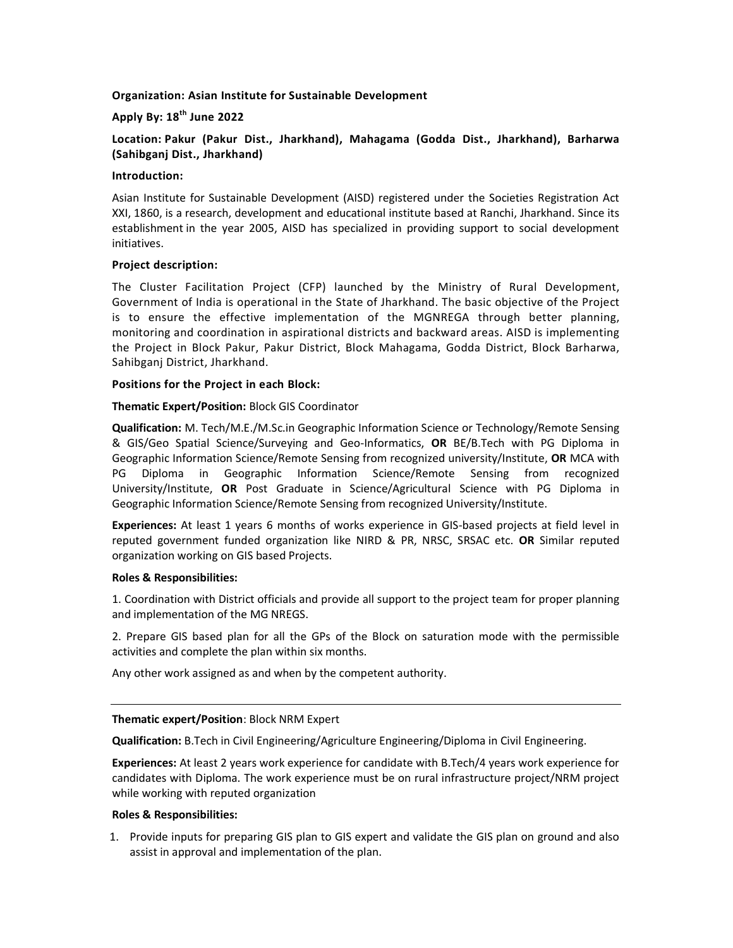# Organization: Asian Institute for Sustainable Development

# Apply By:  $18^{th}$  June 2022

Location: Pakur (Pakur Dist., Jharkhand), Mahagama (Godda Dist., Jharkhand), Barharwa (Sahibganj Dist., Jharkhand)

#### Introduction:

Asian Institute for Sustainable Development (AISD) registered under the Societies Registration Act XXI, 1860, is a research, development and educational institute based at Ranchi, Jharkhand. Since its establishment in the year 2005, AISD has specialized in providing support to social development initiatives.

## Project description:

The Cluster Facilitation Project (CFP) launched by the Ministry of Rural Development, Government of India is operational in the State of Jharkhand. The basic objective of the Project is to ensure the effective implementation of the MGNREGA through better planning, monitoring and coordination in aspirational districts and backward areas. AISD is implementing the Project in Block Pakur, Pakur District, Block Mahagama, Godda District, Block Barharwa, Sahibganj District, Jharkhand.

## Positions for the Project in each Block:

## Thematic Expert/Position: Block GIS Coordinator

Qualification: M. Tech/M.E./M.Sc.in Geographic Information Science or Technology/Remote Sensing & GIS/Geo Spatial Science/Surveying and Geo-Informatics, OR BE/B.Tech with PG Diploma in Geographic Information Science/Remote Sensing from recognized university/Institute, OR MCA with PG Diploma in Geographic Information Science/Remote Sensing from recognized University/Institute, OR Post Graduate in Science/Agricultural Science with PG Diploma in Geographic Information Science/Remote Sensing from recognized University/Institute.

Experiences: At least 1 years 6 months of works experience in GIS-based projects at field level in reputed government funded organization like NIRD & PR, NRSC, SRSAC etc. OR Similar reputed organization working on GIS based Projects.

#### Roles & Responsibilities:

1. Coordination with District officials and provide all support to the project team for proper planning and implementation of the MG NREGS.

2. Prepare GIS based plan for all the GPs of the Block on saturation mode with the permissible activities and complete the plan within six months.

Any other work assigned as and when by the competent authority.

#### Thematic expert/Position: Block NRM Expert

Qualification: B.Tech in Civil Engineering/Agriculture Engineering/Diploma in Civil Engineering.

Experiences: At least 2 years work experience for candidate with B.Tech/4 years work experience for candidates with Diploma. The work experience must be on rural infrastructure project/NRM project while working with reputed organization

#### Roles & Responsibilities:

1. Provide inputs for preparing GIS plan to GIS expert and validate the GIS plan on ground and also assist in approval and implementation of the plan.